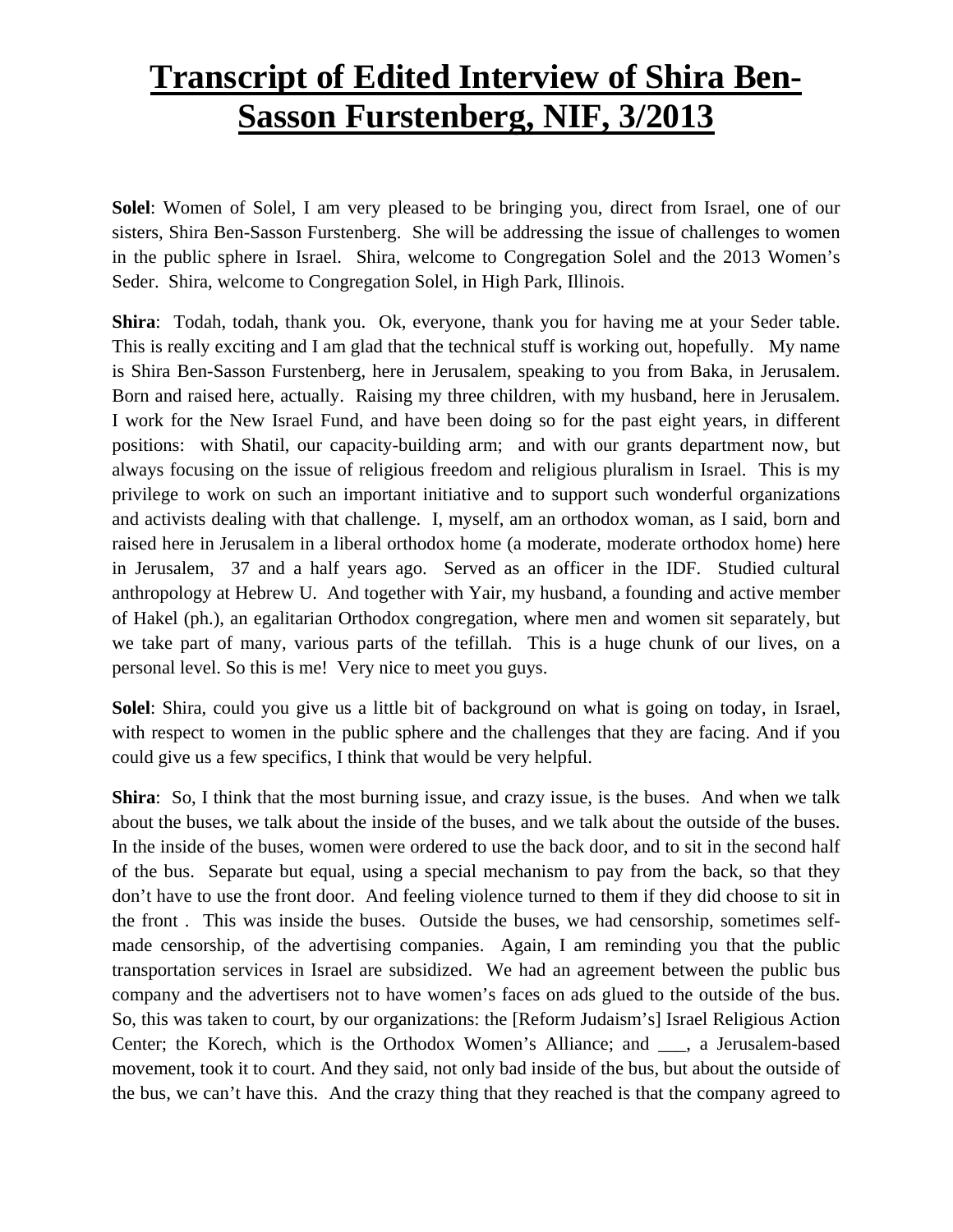## **Transcript of Edited Interview of Shira Ben-Sasson Furstenberg, NIF, 3/2013**

**Solel**: Women of Solel, I am very pleased to be bringing you, direct from Israel, one of our sisters, Shira Ben-Sasson Furstenberg. She will be addressing the issue of challenges to women in the public sphere in Israel. Shira, welcome to Congregation Solel and the 2013 Women's Seder. Shira, welcome to Congregation Solel, in High Park, Illinois.

**Shira**: Todah, todah, thank you. Ok, everyone, thank you for having me at your Seder table. This is really exciting and I am glad that the technical stuff is working out, hopefully. My name is Shira Ben-Sasson Furstenberg, here in Jerusalem, speaking to you from Baka, in Jerusalem. Born and raised here, actually. Raising my three children, with my husband, here in Jerusalem. I work for the New Israel Fund, and have been doing so for the past eight years, in different positions: with Shatil, our capacity-building arm; and with our grants department now, but always focusing on the issue of religious freedom and religious pluralism in Israel. This is my privilege to work on such an important initiative and to support such wonderful organizations and activists dealing with that challenge. I, myself, am an orthodox woman, as I said, born and raised here in Jerusalem in a liberal orthodox home (a moderate, moderate orthodox home) here in Jerusalem, 37 and a half years ago. Served as an officer in the IDF. Studied cultural anthropology at Hebrew U. And together with Yair, my husband, a founding and active member of Hakel (ph.), an egalitarian Orthodox congregation, where men and women sit separately, but we take part of many, various parts of the tefillah. This is a huge chunk of our lives, on a personal level. So this is me! Very nice to meet you guys.

**Solel**: Shira, could you give us a little bit of background on what is going on today, in Israel, with respect to women in the public sphere and the challenges that they are facing. And if you could give us a few specifics, I think that would be very helpful.

**Shira**: So, I think that the most burning issue, and crazy issue, is the buses. And when we talk about the buses, we talk about the inside of the buses, and we talk about the outside of the buses. In the inside of the buses, women were ordered to use the back door, and to sit in the second half of the bus. Separate but equal, using a special mechanism to pay from the back, so that they don't have to use the front door. And feeling violence turned to them if they did choose to sit in the front . This was inside the buses. Outside the buses, we had censorship, sometimes selfmade censorship, of the advertising companies. Again, I am reminding you that the public transportation services in Israel are subsidized. We had an agreement between the public bus company and the advertisers not to have women's faces on ads glued to the outside of the bus. So, this was taken to court, by our organizations: the [Reform Judaism's] Israel Religious Action Center; the Korech, which is the Orthodox Women's Alliance; and \_\_\_, a Jerusalem-based movement, took it to court. And they said, not only bad inside of the bus, but about the outside of the bus, we can't have this. And the crazy thing that they reached is that the company agreed to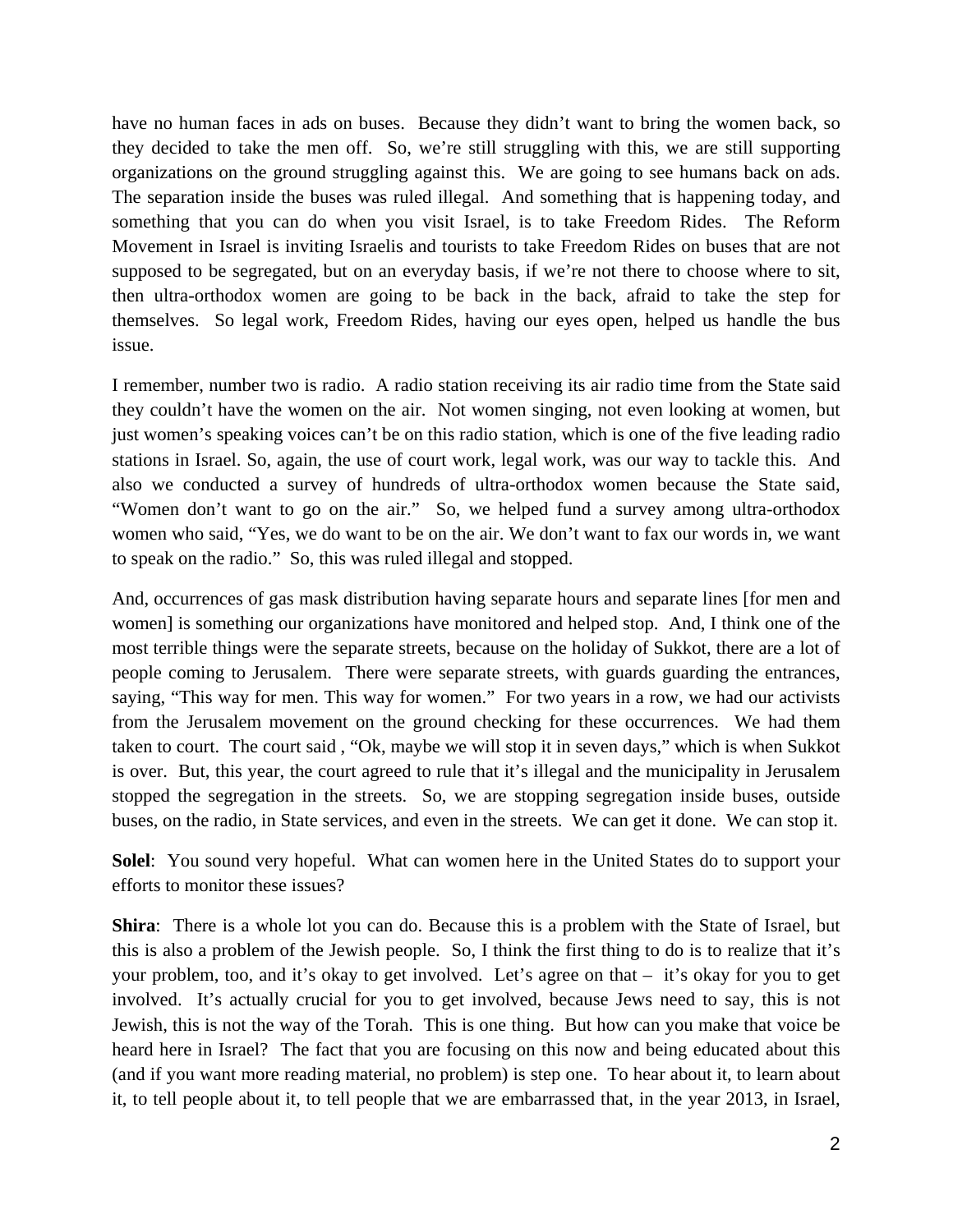have no human faces in ads on buses. Because they didn't want to bring the women back, so they decided to take the men off. So, we're still struggling with this, we are still supporting organizations on the ground struggling against this. We are going to see humans back on ads. The separation inside the buses was ruled illegal. And something that is happening today, and something that you can do when you visit Israel, is to take Freedom Rides. The Reform Movement in Israel is inviting Israelis and tourists to take Freedom Rides on buses that are not supposed to be segregated, but on an everyday basis, if we're not there to choose where to sit, then ultra-orthodox women are going to be back in the back, afraid to take the step for themselves. So legal work, Freedom Rides, having our eyes open, helped us handle the bus issue.

I remember, number two is radio. A radio station receiving its air radio time from the State said they couldn't have the women on the air. Not women singing, not even looking at women, but just women's speaking voices can't be on this radio station, which is one of the five leading radio stations in Israel. So, again, the use of court work, legal work, was our way to tackle this. And also we conducted a survey of hundreds of ultra-orthodox women because the State said, "Women don't want to go on the air." So, we helped fund a survey among ultra-orthodox women who said, "Yes, we do want to be on the air. We don't want to fax our words in, we want to speak on the radio." So, this was ruled illegal and stopped.

And, occurrences of gas mask distribution having separate hours and separate lines [for men and women] is something our organizations have monitored and helped stop. And, I think one of the most terrible things were the separate streets, because on the holiday of Sukkot, there are a lot of people coming to Jerusalem. There were separate streets, with guards guarding the entrances, saying, "This way for men. This way for women." For two years in a row, we had our activists from the Jerusalem movement on the ground checking for these occurrences. We had them taken to court. The court said , "Ok, maybe we will stop it in seven days," which is when Sukkot is over. But, this year, the court agreed to rule that it's illegal and the municipality in Jerusalem stopped the segregation in the streets. So, we are stopping segregation inside buses, outside buses, on the radio, in State services, and even in the streets. We can get it done. We can stop it.

**Solel**: You sound very hopeful. What can women here in the United States do to support your efforts to monitor these issues?

**Shira**: There is a whole lot you can do. Because this is a problem with the State of Israel, but this is also a problem of the Jewish people. So, I think the first thing to do is to realize that it's your problem, too, and it's okay to get involved. Let's agree on that – it's okay for you to get involved. It's actually crucial for you to get involved, because Jews need to say, this is not Jewish, this is not the way of the Torah. This is one thing. But how can you make that voice be heard here in Israel? The fact that you are focusing on this now and being educated about this (and if you want more reading material, no problem) is step one. To hear about it, to learn about it, to tell people about it, to tell people that we are embarrassed that, in the year 2013, in Israel,